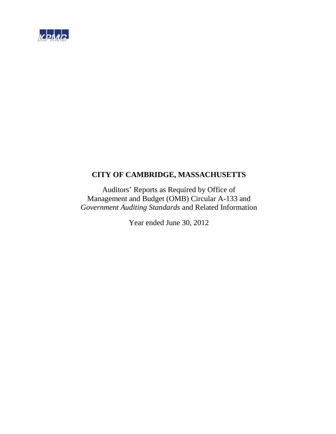

# **CITY OF CAMBRIDGE, MASSACHUSETTS**

Auditors' Reports as Required by Office of Management and Budget (OMB) Circular A-133 and *Government Auditing Standards* and Related Information

Year ended June 30, 2012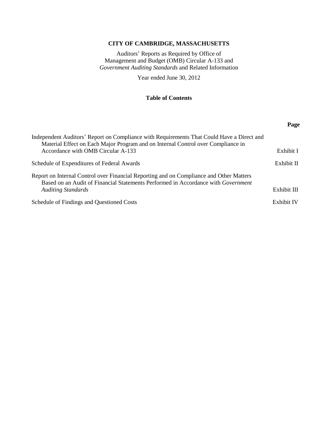# **CITY OF CAMBRIDGE, MASSACHUSETTS**

Auditors' Reports as Required by Office of Management and Budget (OMB) Circular A-133 and *Government Auditing Standards* and Related Information

Year ended June 30, 2012

### **Table of Contents**

|                                                                                                                                                                                                                     | Page        |
|---------------------------------------------------------------------------------------------------------------------------------------------------------------------------------------------------------------------|-------------|
| Independent Auditors' Report on Compliance with Requirements That Could Have a Direct and<br>Material Effect on Each Major Program and on Internal Control over Compliance in<br>Accordance with OMB Circular A-133 | Exhibit I   |
| Schedule of Expenditures of Federal Awards                                                                                                                                                                          | Exhibit II  |
| Report on Internal Control over Financial Reporting and on Compliance and Other Matters<br>Based on an Audit of Financial Statements Performed in Accordance with Government<br><b>Auditing Standards</b>           | Exhibit III |
| Schedule of Findings and Questioned Costs                                                                                                                                                                           | Exhibit IV  |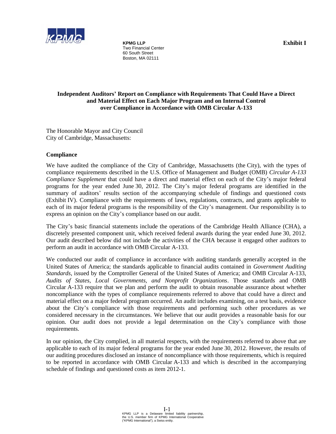

**KPMG LLP**  Two Financial Center 60 South Street Boston, MA 02111

#### **Independent Auditors' Report on Compliance with Requirements That Could Have a Direct and Material Effect on Each Major Program and on Internal Control over Compliance in Accordance with OMB Circular A-133**

The Honorable Mayor and City Council City of Cambridge, Massachusetts:

#### **Compliance**

We have audited the compliance of the City of Cambridge, Massachusetts (the City), with the types of compliance requirements described in the U.S. Office of Management and Budget (OMB) *Circular A-133 Compliance Supplement* that could have a direct and material effect on each of the City's major federal programs for the year ended June 30, 2012. The City's major federal programs are identified in the summary of auditors' results section of the accompanying schedule of findings and questioned costs (Exhibit IV). Compliance with the requirements of laws, regulations, contracts, and grants applicable to each of its major federal programs is the responsibility of the City's management. Our responsibility is to express an opinion on the City's compliance based on our audit.

The City's basic financial statements include the operations of the Cambridge Health Alliance (CHA), a discretely presented component unit, which received federal awards during the year ended June 30, 2012. Our audit described below did not include the activities of the CHA because it engaged other auditors to perform an audit in accordance with OMB Circular A-133.

We conducted our audit of compliance in accordance with auditing standards generally accepted in the United States of America; the standards applicable to financial audits contained in *Government Auditing Standards*, issued by the Comptroller General of the United States of America; and OMB Circular A-133, *Audits of States, Local Governments, and Nonprofit Organizations*. Those standards and OMB Circular A-133 require that we plan and perform the audit to obtain reasonable assurance about whether noncompliance with the types of compliance requirements referred to above that could have a direct and material effect on a major federal program occurred. An audit includes examining, on a test basis, evidence about the City's compliance with those requirements and performing such other procedures as we considered necessary in the circumstances. We believe that our audit provides a reasonable basis for our opinion. Our audit does not provide a legal determination on the City's compliance with those requirements.

In our opinion, the City complied, in all material respects, with the requirements referred to above that are applicable to each of its major federal programs for the year ended June 30, 2012. However, the results of our auditing procedures disclosed an instance of noncompliance with those requirements, which is required to be reported in accordance with OMB Circular A-133 and which is described in the accompanying schedule of findings and questioned costs as item 2012-1.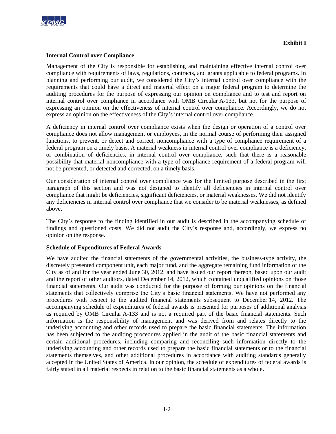

#### **Internal Control over Compliance**

Management of the City is responsible for establishing and maintaining effective internal control over compliance with requirements of laws, regulations, contracts, and grants applicable to federal programs. In planning and performing our audit, we considered the City's internal control over compliance with the requirements that could have a direct and material effect on a major federal program to determine the auditing procedures for the purpose of expressing our opinion on compliance and to test and report on internal control over compliance in accordance with OMB Circular A-133, but not for the purpose of expressing an opinion on the effectiveness of internal control over compliance. Accordingly, we do not express an opinion on the effectiveness of the City's internal control over compliance.

A deficiency in internal control over compliance exists when the design or operation of a control over compliance does not allow management or employees, in the normal course of performing their assigned functions, to prevent, or detect and correct, noncompliance with a type of compliance requirement of a federal program on a timely basis. A material weakness in internal control over compliance is a deficiency, or combination of deficiencies, in internal control over compliance, such that there is a reasonable possibility that material noncompliance with a type of compliance requirement of a federal program will not be prevented, or detected and corrected, on a timely basis.

Our consideration of internal control over compliance was for the limited purpose described in the first paragraph of this section and was not designed to identify all deficiencies in internal control over compliance that might be deficiencies, significant deficiencies, or material weaknesses. We did not identify any deficiencies in internal control over compliance that we consider to be material weaknesses, as defined above.

The City's response to the finding identified in our audit is described in the accompanying schedule of findings and questioned costs. We did not audit the City's response and, accordingly, we express no opinion on the response.

#### **Schedule of Expenditures of Federal Awards**

We have audited the financial statements of the governmental activities, the business-type activity, the discretely presented component unit, each major fund, and the aggregate remaining fund information of the City as of and for the year ended June 30, 2012, and have issued our report thereon, based upon our audit and the report of other auditors, dated December 14, 2012, which contained unqualified opinions on those financial statements. Our audit was conducted for the purpose of forming our opinions on the financial statements that collectively comprise the City's basic financial statements. We have not performed any procedures with respect to the audited financial statements subsequent to December 14, 2012. The accompanying schedule of expenditures of federal awards is presented for purposes of additional analysis as required by OMB Circular A-133 and is not a required part of the basic financial statements. Such information is the responsibility of management and was derived from and relates directly to the underlying accounting and other records used to prepare the basic financial statements. The information has been subjected to the auditing procedures applied in the audit of the basic financial statements and certain additional procedures, including comparing and reconciling such information directly to the underlying accounting and other records used to prepare the basic financial statements or to the financial statements themselves, and other additional procedures in accordance with auditing standards generally accepted in the United States of America. In our opinion, the schedule of expenditures of federal awards is fairly stated in all material respects in relation to the basic financial statements as a whole.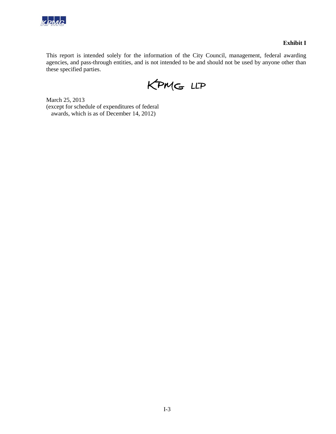

This report is intended solely for the information of the City Council, management, federal awarding agencies, and pass-through entities, and is not intended to be and should not be used by anyone other than these specified parties.

KPMG LLP

March 25, 2013 (except for schedule of expenditures of federal awards, which is as of December 14, 2012)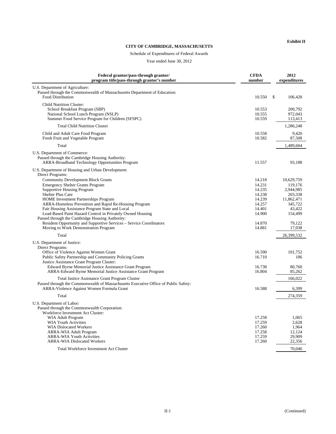#### **CITY OF CAMBRIDGE, MASSACHUSETTS**

#### Schedule of Expenditures of Federal Awards

Year ended June 30, 2012

| Federal grantor/pass-through grantor/<br>program title/pass-through grantor's number                                                                          | <b>CFDA</b><br>number      | 2012<br>expenditures          |
|---------------------------------------------------------------------------------------------------------------------------------------------------------------|----------------------------|-------------------------------|
| U.S. Department of Agriculture:<br>Passed through the Commonwealth of Massachusetts Department of Education:<br>Food Distribution                             | 10.550                     | \$<br>106,428                 |
| <b>Child Nutrition Cluster:</b><br>School Breakfast Program (SBP)<br>National School Lunch Program (NSLP)<br>Summer Food Service Program for Children (SFSPC) | 10.553<br>10.555<br>10.559 | 200,792<br>972,043<br>113,413 |
| <b>Total Child Nutrition Cluster</b>                                                                                                                          |                            | 1,286,248                     |
| Child and Adult Care Food Program<br>Fresh Fruit and Vegetable Program                                                                                        | 10.558<br>10.582           | 9,420<br>87,508               |
| Total                                                                                                                                                         |                            | 1,489,604                     |
| U.S. Department of Commerce:<br>Passed through the Cambridge Housing Authority:<br>ARRA-Broadband Technology Opportunities Program                            | 11.557                     | 93,188                        |
| U.S. Department of Housing and Urban Development:<br>Direct Programs:<br><b>Community Development Block Grants</b>                                            | 14.218                     | 10,629,759                    |
| <b>Emergency Shelter Grants Program</b>                                                                                                                       | 14.231                     | 119,176                       |
| <b>Supportive Housing Program</b>                                                                                                                             | 14.235                     | 2,944,985                     |
| Shelter Plus Care                                                                                                                                             | 14.238                     | 203,338                       |
| HOME Investment Partnerships Program                                                                                                                          | 14.239                     | 11,862,471                    |
| ARRA-Homeless Prevention and Rapid Re-Housing Program                                                                                                         | 14.257                     | 345.722                       |
| Fair Housing Assistance Program State and Local<br>Lead-Based Paint Hazard Control in Privately Owned Housing                                                 | 14.401<br>14.900           | 43.422<br>154,499             |
| Passed through the Cambridge Housing Authority:                                                                                                               |                            |                               |
| Resident Opportunity and Supportive Services – Service Coordinators                                                                                           | 14.870                     | 79,122                        |
| Moving to Work Demonstration Program                                                                                                                          | 14.881                     | 17,038                        |
| Total                                                                                                                                                         |                            | 26,399,532                    |
| U.S. Department of Justice:                                                                                                                                   |                            |                               |
| Direct Programs:                                                                                                                                              |                            |                               |
| Office of Violence Against Women Grant                                                                                                                        | 16.590                     | 101,752                       |
| Public Safety Partnership and Community Policing Grants                                                                                                       | 16.710                     | 186                           |
| Justice Assistance Grant Program Cluster:                                                                                                                     |                            |                               |
| Edward Byrne Memorial Justice Assistance Grant Program                                                                                                        | 16.738                     | 80,760                        |
| ARRA-Edward Byrne Memorial Justice Assistance Grant Program                                                                                                   | 16.804                     | 85,262                        |
| <b>Total Justice Assistance Grant Program Cluster</b>                                                                                                         |                            | 166,022                       |
| Passed through the Commonwealth of Massachusetts Executive Office of Public Safety:<br>ARRA-Violence Against Women Formula Grant                              | 16.588                     | 6,399                         |
|                                                                                                                                                               |                            |                               |
| Total                                                                                                                                                         |                            | 274,359                       |
| U.S. Department of Labor:<br>Passed through the Commonwealth Corporation:<br>Workforce Investment Act Cluster:                                                |                            |                               |
| WIA Adult Program                                                                                                                                             | 17.258                     | 1.065                         |
| <b>WIA Youth Activities</b>                                                                                                                                   | 17.259                     | 2,628                         |
| <b>WIA Dislocated Workers</b>                                                                                                                                 | 17.260                     | 1,964                         |
| ARRA-WIA Adult Program                                                                                                                                        | 17.258                     | 12,124                        |
| ARRA-WIA Youth Activities<br><b>ARRA-WIA Dislocated Workers</b>                                                                                               | 17.259<br>17.260           | 29,909<br>22,356              |
|                                                                                                                                                               |                            |                               |
| <b>Total Workforce Investment Act Cluster</b>                                                                                                                 |                            | 70,046                        |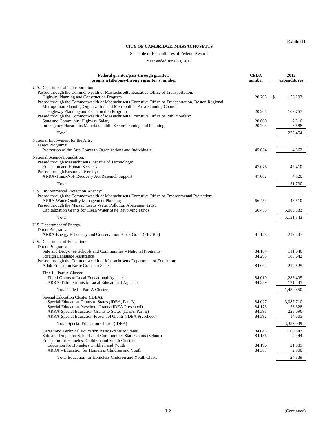#### **CITY OF CAMBRIDGE, MASSACHUSETTS**

#### Schedule of Expenditures of Federal Awards

Year ended June 30, 2012

| Federal grantor/pass-through grantor/<br>program title/pass-through grantor's number                                                                                                                                                                                                                                                                          | <b>CFDA</b><br>number                | 2012<br>expenditures                     |
|---------------------------------------------------------------------------------------------------------------------------------------------------------------------------------------------------------------------------------------------------------------------------------------------------------------------------------------------------------------|--------------------------------------|------------------------------------------|
| U.S. Department of Transportation:<br>Passed through the Commonwealth of Massachusetts Executive Office of Transportation:<br>Highway Planning and Construction Program<br>Passed through the Commonwealth of Massachusetts Executive Office of Transportation, Boston Regional<br>Metropolitan Planning Organization and Metropolitan Area Planning Council: | 20.205                               | \$<br>156,293                            |
| Highway Planning and Construction Program<br>Passed through the Commonwealth of Massachusetts Executive Office of Public Safety:<br>State and Community Highway Safety                                                                                                                                                                                        | 20.205<br>20.600                     | 109,757<br>2,816                         |
| Interagency Hazardous Materials Public Sector Training and Planning                                                                                                                                                                                                                                                                                           | 20.703                               | 3,588                                    |
| Total                                                                                                                                                                                                                                                                                                                                                         |                                      | 272,454                                  |
| National Endowment for the Arts:<br>Direct Programs:<br>Promotion of the Arts Grants to Organizations and Individuals                                                                                                                                                                                                                                         | 45.024                               | 4,362                                    |
| National Science Foundation:<br>Passed through Massachusetts Institute of Technology:<br><b>Education and Human Services</b><br>Passed through Boston University:                                                                                                                                                                                             | 47.076                               | 47,410                                   |
| ARRA-Trans-NSF Recovery Act Research Support                                                                                                                                                                                                                                                                                                                  | 47.082                               | 4,320                                    |
| Total                                                                                                                                                                                                                                                                                                                                                         |                                      | 51,730                                   |
| U.S. Environmental Protection Agency:<br>Passed through the Commonwealth of Massachusetts Executive Office of Environmental Protection:<br><b>ARRA-Water Quality Management Planning</b><br>Passed through the Massachusetts Water Pollution Abatement Trust:<br>Capitalization Grants for Clean Water State Revolving Funds                                  | 66.454<br>66.458                     | 48,510<br>5,083,333                      |
| Total                                                                                                                                                                                                                                                                                                                                                         |                                      | 5,131,843                                |
| U.S. Department of Energy:<br>Direct Programs:<br>ARRA-Energy Efficiency and Conservation Block Grant (EECBG)                                                                                                                                                                                                                                                 | 81.128                               | 212,237                                  |
| U.S. Department of Education:<br>Direct Programs:<br>Safe and Drug-Free Schools and Communities - National Programs<br>Foreign Language Assistance<br>Passed through the Commonwealth of Massachusetts Department of Education:<br><b>Adult Education Basic Grants to States</b>                                                                              | 84.184<br>84.293<br>84.002           | 111,646<br>188,642<br>212,525            |
| Title I – Part A Cluster:<br>Title I Grants to Local Educational Agencies<br><b>ARRA-Title I-Grants to Local Educational Agencies</b>                                                                                                                                                                                                                         | 84.010<br>84.389                     | 1,288,405<br>171,445                     |
| Total Title I – Part A Cluster                                                                                                                                                                                                                                                                                                                                |                                      | 1,459,850                                |
| Special Education Cluster (IDEA):<br>Special Education-Grants to States (IDEA, Part B)<br>Special Education-Preschool Grants (IDEA Preschool)<br>ARRA-Special Education-Grants to States (IDEA, Part B)<br>ARRA-Special Education-Preschool Grants (IDEA Preschool)                                                                                           | 84.027<br>84.173<br>84.391<br>84.392 | 3,087,710<br>56,628<br>228,096<br>14.605 |
| <b>Total Special Education Cluster (IDEA)</b>                                                                                                                                                                                                                                                                                                                 |                                      | 3,387,039                                |
| Career and Technical Education Basic Grants to States<br>Safe and Drug-Free Schools and Communities State Grants (School)<br>Education for Homeless Children and Youth Cluster:                                                                                                                                                                               | 84.048<br>84.186                     | 100.543<br>2,444                         |
| Education for Homeless Children and Youth<br>ARRA – Education for Homeless Children and Youth                                                                                                                                                                                                                                                                 | 84.196<br>84.387                     | 21,939<br>2,900                          |
| Total Education for Homeless Children and Youth Cluster                                                                                                                                                                                                                                                                                                       |                                      | 24,839                                   |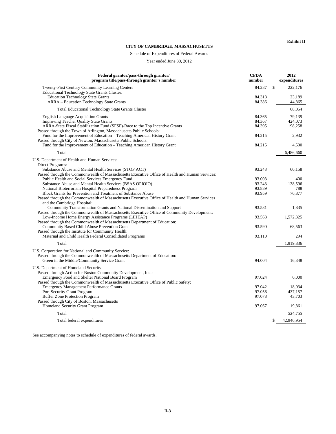#### **CITY OF CAMBRIDGE, MASSACHUSETTS**

#### Schedule of Expenditures of Federal Awards

Year ended June 30, 2012

| Federal grantor/pass-through grantor/<br>program title/pass-through grantor's number                                                                | <b>CFDA</b><br>number |              | 2012<br>expenditures |
|-----------------------------------------------------------------------------------------------------------------------------------------------------|-----------------------|--------------|----------------------|
| Twenty-First Century Community Learning Centers<br>Educational Technology State Grants Cluster:                                                     | 84.287                | $\mathbb{S}$ | 222,176              |
| <b>Education Technology State Grants</b>                                                                                                            | 84.318                |              | 23,189               |
| <b>ARRA</b> – Education Technology State Grants                                                                                                     | 84.386                |              | 44,865               |
| <b>Total Educational Technology State Grants Cluster</b>                                                                                            |                       |              | 68,054               |
| <b>English Language Acquisition Grants</b>                                                                                                          | 84.365                |              | 79,139               |
| <b>Improving Teacher Quality State Grants</b>                                                                                                       | 84.367                |              | 424,073              |
| ARRA-State Fiscal Stabilization Fund (SFSF)-Race to the Top Incentive Grants<br>Passed through the Town of Arlington, Massachusetts Public Schools: | 84.395                |              | 198,258              |
| Fund for the Improvement of Education – Teaching American History Grant                                                                             | 84.215                |              | 2,932                |
| Passed through City of Newton, Massachusetts Public Schools:                                                                                        |                       |              |                      |
| Fund for the Improvement of Education – Teaching American History Grant                                                                             | 84.215                |              | 4.500                |
| Total                                                                                                                                               |                       |              | 6,486,660            |
| U.S. Department of Health and Human Services:<br>Direct Programs:                                                                                   |                       |              |                      |
| Substance Abuse and Mental Health Services (STOP ACT)                                                                                               | 93.243                |              | 60,158               |
| Passed through the Commonwealth of Massachusetts Executive Office of Health and Human Services:                                                     |                       |              |                      |
| Public Health and Social Services Emergency Fund                                                                                                    | 93.003                |              | 400                  |
| Substance Abuse and Mental Health Services (BSAS OPIOIO)                                                                                            | 93.243                |              | 138,596              |
| National Bioterrorism Hospital Preparedness Program                                                                                                 | 93.889                |              | 788                  |
| Block Grants for Prevention and Treatment of Substance Abuse                                                                                        | 93.959                |              | 76,877               |
| Passed through the Commonwealth of Massachusetts Executive Office of Health and Human Services                                                      |                       |              |                      |
| and the Cambridge Hospital:                                                                                                                         |                       |              |                      |
| Community Transformation Grants and National Dissemination and Support                                                                              | 93.531                |              | 1,835                |
| Passed through the Commonwealth of Massachusetts Executive Office of Community Development:                                                         |                       |              |                      |
| Low-Income Home Energy Assistance Programs (LIHEAP)                                                                                                 | 93.568                |              | 1,572,325            |
| Passed through the Commonwealth of Massachusetts Department of Education:                                                                           | 93.590                |              |                      |
| Community Based Child Abuse Prevention Grant<br>Passed through the Institute for Community Health:                                                  |                       |              | 68,563               |
| Maternal and Child Health Federal Consolidated Programs                                                                                             | 93.110                |              | 294                  |
| Total                                                                                                                                               |                       |              | 1,919,836            |
|                                                                                                                                                     |                       |              |                      |
| U.S. Corporation for National and Community Service:<br>Passed through the Commonwealth of Massachusetts Department of Education:                   |                       |              |                      |
| Green in the Middle/Community Service Grant                                                                                                         | 94.004                |              | 16,348               |
|                                                                                                                                                     |                       |              |                      |
| U.S. Department of Homeland Security:                                                                                                               |                       |              |                      |
| Passed through Action for Boston Community Development, Inc.:                                                                                       |                       |              |                      |
| Emergency Food and Shelter National Board Program                                                                                                   | 97.024                |              | 6,000                |
| Passed through the Commonwealth of Massachusetts Executive Office of Public Safety:                                                                 |                       |              |                      |
| <b>Emergency Management Performance Grants</b>                                                                                                      | 97.042                |              | 18,034               |
| Port Security Grant Program                                                                                                                         | 97.056                |              | 437,157              |
| <b>Buffer Zone Protection Program</b>                                                                                                               | 97.078                |              | 43,703               |
| Passed through City of Boston, Massachusetts<br><b>Homeland Security Grant Program</b>                                                              | 97.067                |              | 19,861               |
| Total                                                                                                                                               |                       |              | 524,755              |
| Total federal expenditures                                                                                                                          |                       | \$           | 42,946,954           |

See accompanying notes to schedule of expenditures of federal awards.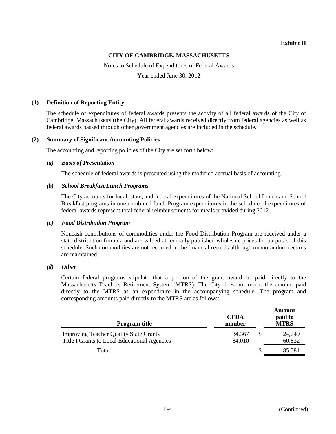# **CITY OF CAMBRIDGE, MASSACHUSETTS**

Notes to Schedule of Expenditures of Federal Awards

Year ended June 30, 2012

### **(1) Definition of Reporting Entity**

The schedule of expenditures of federal awards presents the activity of all federal awards of the City of Cambridge, Massachusetts (the City). All federal awards received directly from federal agencies as well as federal awards passed through other government agencies are included in the schedule.

#### **(2) Summary of Significant Accounting Policies**

The accounting and reporting policies of the City are set forth below:

#### *(a) Basis of Presentation*

The schedule of federal awards is presented using the modified accrual basis of accounting.

#### *(b) School Breakfast/Lunch Programs*

The City accounts for local, state, and federal expenditures of the National School Lunch and School Breakfast programs in one combined fund. Program expenditures in the schedule of expenditures of federal awards represent total federal reimbursements for meals provided during 2012.

#### *(c) Food Distribution Program*

Noncash contributions of commodities under the Food Distribution Program are received under a state distribution formula and are valued at federally published wholesale prices for purposes of this schedule. Such commodities are not recorded in the financial records although memorandum records are maintained.

#### *(d) Other*

Certain federal programs stipulate that a portion of the grant award be paid directly to the Massachusetts Teachers Retirement System (MTRS). The City does not report the amount paid directly to the MTRS as an expenditure in the accompanying schedule. The program and corresponding amounts paid directly to the MTRS are as follows:

| <b>Program title</b>                                                                          | <b>CFDA</b><br>number | Amount<br>paid to<br><b>MTRS</b> |
|-----------------------------------------------------------------------------------------------|-----------------------|----------------------------------|
| <b>Improving Teacher Quality State Grants</b><br>Title I Grants to Local Educational Agencies | 84.367<br>84.010      | 24,749<br>60,832                 |
| Total                                                                                         |                       | 85.581                           |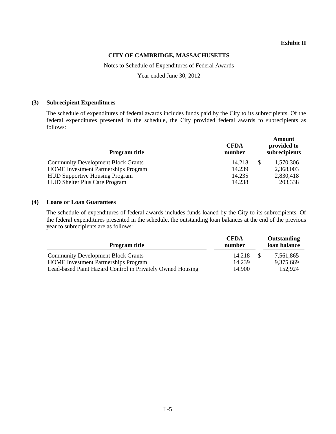### **CITY OF CAMBRIDGE, MASSACHUSETTS**

Notes to Schedule of Expenditures of Federal Awards

Year ended June 30, 2012

#### **(3) Subrecipient Expenditures**

The schedule of expenditures of federal awards includes funds paid by the City to its subrecipients. Of the federal expenditures presented in the schedule, the City provided federal awards to subrecipients as follows:

| <b>Program title</b>                        | <b>CFDA</b><br>number | Amount<br>provided to<br>subrecipients |
|---------------------------------------------|-----------------------|----------------------------------------|
| <b>Community Development Block Grants</b>   | 14.218                | 1,570,306                              |
| <b>HOME</b> Investment Partnerships Program | 14.239                | 2,368,003                              |
| <b>HUD Supportive Housing Program</b>       | 14.235                | 2,830,418                              |
| <b>HUD Shelter Plus Care Program</b>        | 14.238                | 203,338                                |

## **(4) Loans or Loan Guarantees**

The schedule of expenditures of federal awards includes funds loaned by the City to its subrecipients. Of the federal expenditures presented in the schedule, the outstanding loan balances at the end of the previous year to subrecipients are as follows:

| <b>Program title</b>                                       | <b>CFDA</b><br>number | Outstanding<br>loan balance |
|------------------------------------------------------------|-----------------------|-----------------------------|
| <b>Community Development Block Grants</b>                  | 14.218                | 7,561,865                   |
| <b>HOME</b> Investment Partnerships Program                | 14.239                | 9,375,669                   |
| Lead-based Paint Hazard Control in Privately Owned Housing | 14.900                | 152,924                     |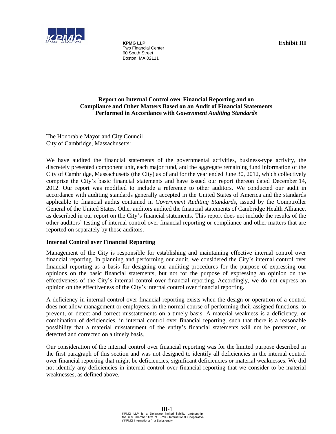

**KPMG LLP**  Two Financial Center 60 South Street Boston, MA 02111

**Exhibit III** 

#### **Report on Internal Control over Financial Reporting and on Compliance and Other Matters Based on an Audit of Financial Statements Performed in Accordance with** *Government Auditing Standards*

The Honorable Mayor and City Council City of Cambridge, Massachusetts:

We have audited the financial statements of the governmental activities, business-type activity, the discretely presented component unit, each major fund, and the aggregate remaining fund information of the City of Cambridge, Massachusetts (the City) as of and for the year ended June 30, 2012, which collectively comprise the City's basic financial statements and have issued our report thereon dated December 14, 2012. Our report was modified to include a reference to other auditors. We conducted our audit in accordance with auditing standards generally accepted in the United States of America and the standards applicable to financial audits contained in *Government Auditing Standards*, issued by the Comptroller General of the United States. Other auditors audited the financial statements of Cambridge Health Alliance, as described in our report on the City's financial statements. This report does not include the results of the other auditors' testing of internal control over financial reporting or compliance and other matters that are reported on separately by those auditors.

#### **Internal Control over Financial Reporting**

Management of the City is responsible for establishing and maintaining effective internal control over financial reporting. In planning and performing our audit, we considered the City's internal control over financial reporting as a basis for designing our auditing procedures for the purpose of expressing our opinions on the basic financial statements, but not for the purpose of expressing an opinion on the effectiveness of the City's internal control over financial reporting. Accordingly, we do not express an opinion on the effectiveness of the City's internal control over financial reporting.

A deficiency in internal control over financial reporting exists when the design or operation of a control does not allow management or employees, in the normal course of performing their assigned functions, to prevent, or detect and correct misstatements on a timely basis. A material weakness is a deficiency, or combination of deficiencies, in internal control over financial reporting, such that there is a reasonable possibility that a material misstatement of the entity's financial statements will not be prevented, or detected and corrected on a timely basis.

Our consideration of the internal control over financial reporting was for the limited purpose described in the first paragraph of this section and was not designed to identify all deficiencies in the internal control over financial reporting that might be deficiencies, significant deficiencies or material weaknesses. We did not identify any deficiencies in internal control over financial reporting that we consider to be material weaknesses, as defined above.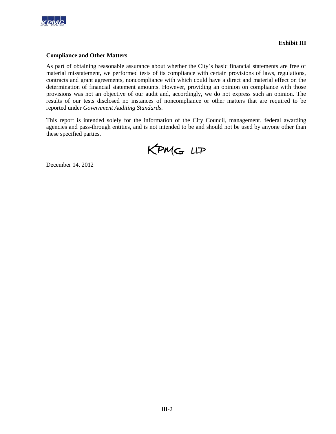

### **Compliance and Other Matters**

As part of obtaining reasonable assurance about whether the City's basic financial statements are free of material misstatement, we performed tests of its compliance with certain provisions of laws, regulations, contracts and grant agreements, noncompliance with which could have a direct and material effect on the determination of financial statement amounts. However, providing an opinion on compliance with those provisions was not an objective of our audit and, accordingly, we do not express such an opinion. The results of our tests disclosed no instances of noncompliance or other matters that are required to be reported under *Government Auditing Standards*.

This report is intended solely for the information of the City Council, management, federal awarding agencies and pass-through entities, and is not intended to be and should not be used by anyone other than these specified parties.



December 14, 2012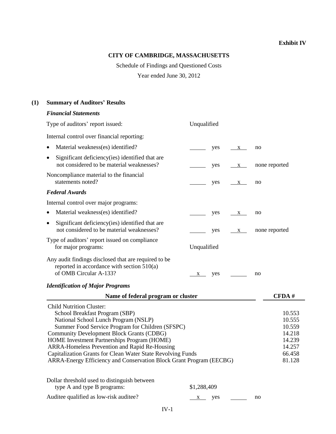## **Exhibit IV**

# **CITY OF CAMBRIDGE, MASSACHUSETTS**

Schedule of Findings and Questioned Costs

Year ended June 30, 2012

# **(1) Summary of Auditors' Results**

#### *Financial Statements*

| Type of auditors' report issued:                                                                                                                                                                                                                                                                                                                                                                                                                        | Unqualified |              |                                                                              |
|---------------------------------------------------------------------------------------------------------------------------------------------------------------------------------------------------------------------------------------------------------------------------------------------------------------------------------------------------------------------------------------------------------------------------------------------------------|-------------|--------------|------------------------------------------------------------------------------|
| Internal control over financial reporting:                                                                                                                                                                                                                                                                                                                                                                                                              |             |              |                                                                              |
| Material weakness(es) identified?                                                                                                                                                                                                                                                                                                                                                                                                                       | yes         | $\mathbf{X}$ | no                                                                           |
| Significant deficiency (ies) identified that are<br>$\bullet$<br>not considered to be material weaknesses?                                                                                                                                                                                                                                                                                                                                              | yes         | $\mathbf{X}$ | none reported                                                                |
| Noncompliance material to the financial<br>statements noted?                                                                                                                                                                                                                                                                                                                                                                                            | yes         | X            | no                                                                           |
| <b>Federal Awards</b>                                                                                                                                                                                                                                                                                                                                                                                                                                   |             |              |                                                                              |
| Internal control over major programs:                                                                                                                                                                                                                                                                                                                                                                                                                   |             |              |                                                                              |
| Material weakness(es) identified?<br>$\bullet$                                                                                                                                                                                                                                                                                                                                                                                                          | yes         | X            | no                                                                           |
| Significant deficiency (ies) identified that are<br>$\bullet$<br>not considered to be material weaknesses?                                                                                                                                                                                                                                                                                                                                              | yes         | $\mathbf{X}$ | none reported                                                                |
| Type of auditors' report issued on compliance<br>for major programs:                                                                                                                                                                                                                                                                                                                                                                                    | Unqualified |              |                                                                              |
| Any audit findings disclosed that are required to be<br>reported in accordance with section $510(a)$<br>of OMB Circular A-133?                                                                                                                                                                                                                                                                                                                          | yes<br>X    |              | no                                                                           |
| <b>Identification of Major Programs</b>                                                                                                                                                                                                                                                                                                                                                                                                                 |             |              |                                                                              |
| Name of federal program or cluster                                                                                                                                                                                                                                                                                                                                                                                                                      |             |              | CFDA#                                                                        |
| <b>Child Nutrition Cluster:</b><br>School Breakfast Program (SBP)<br>National School Lunch Program (NSLP)<br>Summer Food Service Program for Children (SFSPC)<br><b>Community Development Block Grants (CDBG)</b><br>HOME Investment Partnerships Program (HOME)<br>ARRA-Homeless Prevention and Rapid Re-Housing<br>Capitalization Grants for Clean Water State Revolving Funds<br>ARRA-Energy Efficiency and Conservation Block Grant Program (EECBG) |             |              | 10.553<br>10.555<br>10.559<br>14.218<br>14.239<br>14.257<br>66.458<br>81.128 |
| Dollar threshold used to distinguish between<br>type A and type B programs:                                                                                                                                                                                                                                                                                                                                                                             | \$1,288,409 |              |                                                                              |
| Auditee qualified as low-risk auditee?                                                                                                                                                                                                                                                                                                                                                                                                                  | X<br>yes    |              | no                                                                           |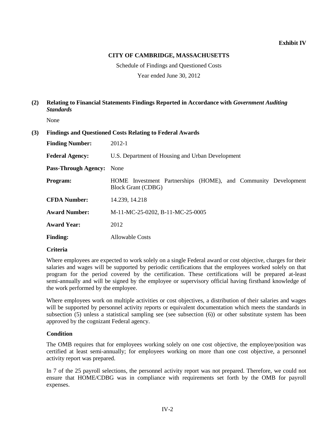#### **Exhibit IV**

## **CITY OF CAMBRIDGE, MASSACHUSETTS**

Schedule of Findings and Questioned Costs

Year ended June 30, 2012

# **(2) Relating to Financial Statements Findings Reported in Accordance with** *Government Auditing Standards*

None

| (3) | <b>Findings and Questioned Costs Relating to Federal Awards</b> |                                                                                             |  |  |  |
|-----|-----------------------------------------------------------------|---------------------------------------------------------------------------------------------|--|--|--|
|     | <b>Finding Number:</b>                                          | $2012 - 1$                                                                                  |  |  |  |
|     | U.S. Department of Housing and Urban Development                |                                                                                             |  |  |  |
|     | <b>Pass-Through Agency:</b> None                                |                                                                                             |  |  |  |
|     | Program:                                                        | HOME Investment Partnerships (HOME), and Community Development<br><b>Block Grant (CDBG)</b> |  |  |  |
|     | <b>CFDA Number:</b>                                             | 14.239, 14.218                                                                              |  |  |  |
|     | <b>Award Number:</b>                                            | M-11-MC-25-0202, B-11-MC-25-0005                                                            |  |  |  |
|     | <b>Award Year:</b>                                              | 2012                                                                                        |  |  |  |
|     | <b>Finding:</b>                                                 | Allowable Costs                                                                             |  |  |  |

#### **Criteria**

Where employees are expected to work solely on a single Federal award or cost objective, charges for their salaries and wages will be supported by periodic certifications that the employees worked solely on that program for the period covered by the certification. These certifications will be prepared at-least semi-annually and will be signed by the employee or supervisory official having firsthand knowledge of the work performed by the employee.

Where employees work on multiple activities or cost objectives, a distribution of their salaries and wages will be supported by personnel activity reports or equivalent documentation which meets the standards in subsection (5) unless a statistical sampling see (see subsection (6)) or other substitute system has been approved by the cognizant Federal agency.

#### **Condition**

The OMB requires that for employees working solely on one cost objective, the employee/position was certified at least semi-annually; for employees working on more than one cost objective, a personnel activity report was prepared.

In 7 of the 25 payroll selections, the personnel activity report was not prepared. Therefore, we could not ensure that HOME/CDBG was in compliance with requirements set forth by the OMB for payroll expenses.